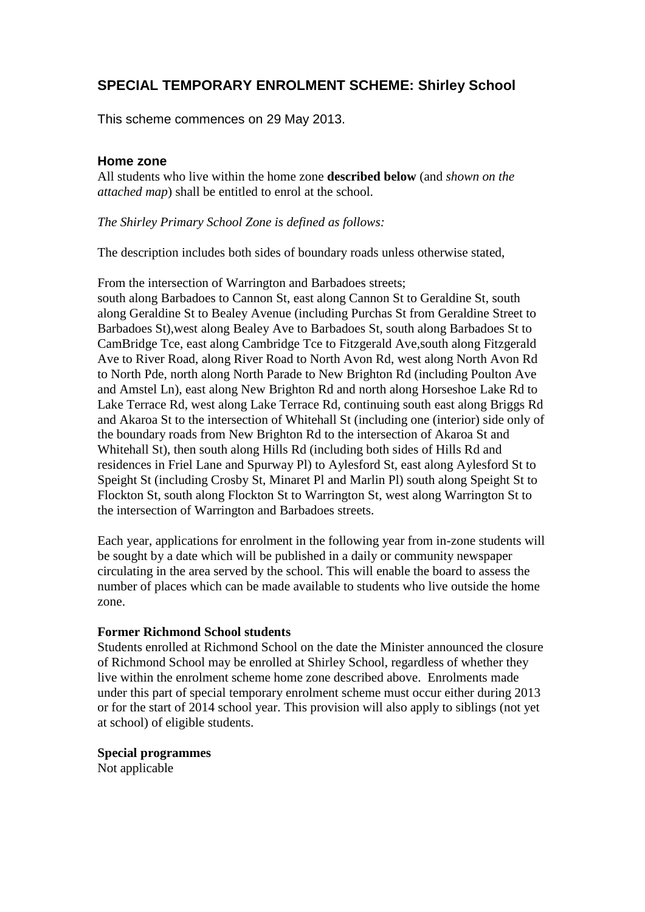# **SPECIAL TEMPORARY ENROLMENT SCHEME: Shirley School**

This scheme commences on 29 May 2013.

### **Home zone**

All students who live within the home zone **described below** (and *shown on the attached map*) shall be entitled to enrol at the school.

*The Shirley Primary School Zone is defined as follows:*

The description includes both sides of boundary roads unless otherwise stated,

From the intersection of Warrington and Barbadoes streets;

south along Barbadoes to Cannon St, east along Cannon St to Geraldine St, south along Geraldine St to Bealey Avenue (including Purchas St from Geraldine Street to Barbadoes St),west along Bealey Ave to Barbadoes St, south along Barbadoes St to CamBridge Tce, east along Cambridge Tce to Fitzgerald Ave,south along Fitzgerald Ave to River Road, along River Road to North Avon Rd, west along North Avon Rd to North Pde, north along North Parade to New Brighton Rd (including Poulton Ave and Amstel Ln), east along New Brighton Rd and north along Horseshoe Lake Rd to Lake Terrace Rd, west along Lake Terrace Rd, continuing south east along Briggs Rd and Akaroa St to the intersection of Whitehall St (including one (interior) side only of the boundary roads from New Brighton Rd to the intersection of Akaroa St and Whitehall St), then south along Hills Rd (including both sides of Hills Rd and residences in Friel Lane and Spurway Pl) to Aylesford St, east along Aylesford St to Speight St (including Crosby St, Minaret Pl and Marlin Pl) south along Speight St to Flockton St, south along Flockton St to Warrington St, west along Warrington St to the intersection of Warrington and Barbadoes streets.

Each year, applications for enrolment in the following year from in-zone students will be sought by a date which will be published in a daily or community newspaper circulating in the area served by the school. This will enable the board to assess the number of places which can be made available to students who live outside the home zone.

#### **Former Richmond School students**

Students enrolled at Richmond School on the date the Minister announced the closure of Richmond School may be enrolled at Shirley School, regardless of whether they live within the enrolment scheme home zone described above. Enrolments made under this part of special temporary enrolment scheme must occur either during 2013 or for the start of 2014 school year. This provision will also apply to siblings (not yet at school) of eligible students.

#### **Special programmes**

Not applicable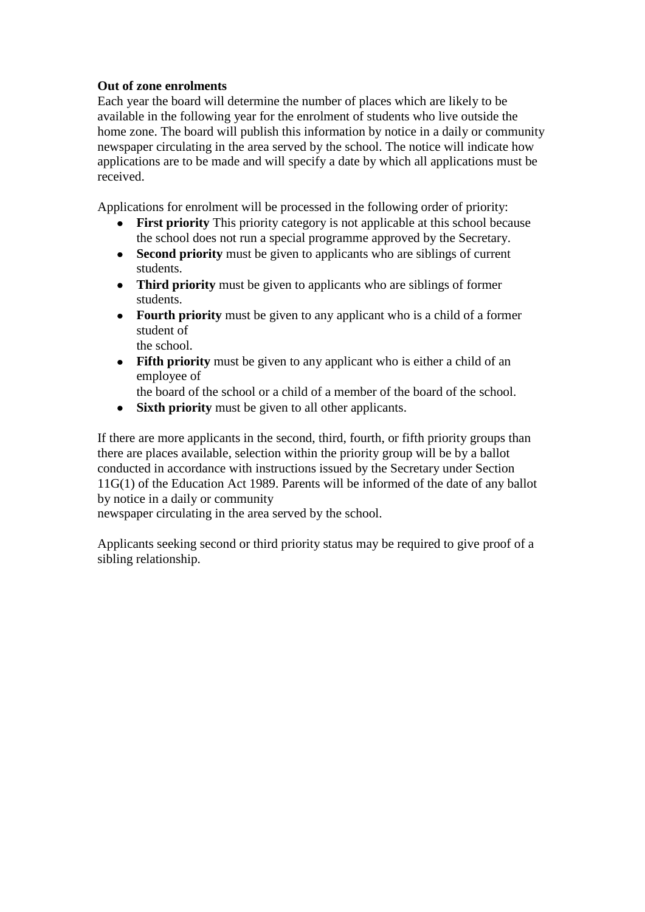## **Out of zone enrolments**

Each year the board will determine the number of places which are likely to be available in the following year for the enrolment of students who live outside the home zone. The board will publish this information by notice in a daily or community newspaper circulating in the area served by the school. The notice will indicate how applications are to be made and will specify a date by which all applications must be received.

Applications for enrolment will be processed in the following order of priority:

- **First priority** This priority category is not applicable at this school because the school does not run a special programme approved by the Secretary.
- **Second priority** must be given to applicants who are siblings of current  $\bullet$ students.
- **Third priority** must be given to applicants who are siblings of former students.
- **Fourth priority** must be given to any applicant who is a child of a former  $\bullet$ student of the school.
- **Fifth priority** must be given to any applicant who is either a child of an employee of
	- the board of the school or a child of a member of the board of the school.
- $\bullet$ **Sixth priority** must be given to all other applicants.

If there are more applicants in the second, third, fourth, or fifth priority groups than there are places available, selection within the priority group will be by a ballot conducted in accordance with instructions issued by the Secretary under Section 11G(1) of the Education Act 1989. Parents will be informed of the date of any ballot by notice in a daily or community

newspaper circulating in the area served by the school.

Applicants seeking second or third priority status may be required to give proof of a sibling relationship.